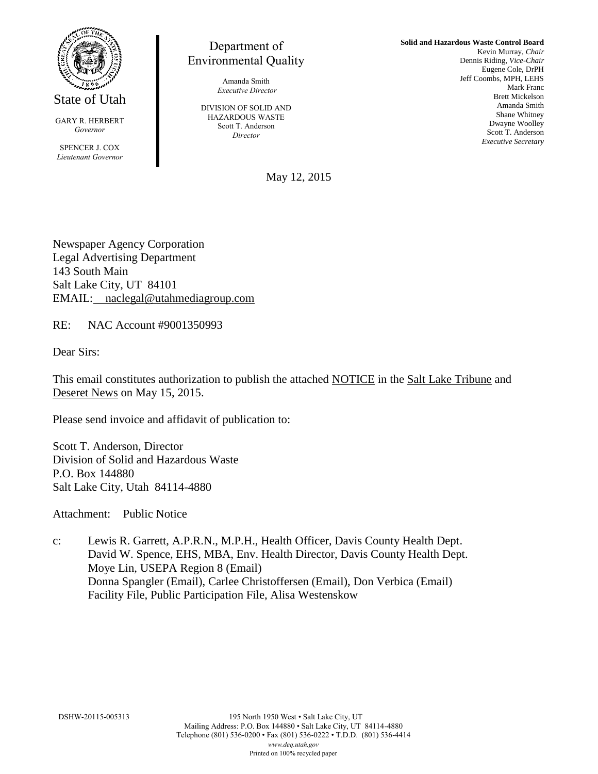

State of Utah

GARY R. HERBERT *Governor*

SPENCER J. COX *Lieutenant Governor*

Department of Environmental Quality

> Amanda Smith *Executive Director*

DIVISION OF SOLID AND HAZARDOUS WASTE Scott T. Anderson *Director*

**Solid and Hazardous Waste Control Board** Kevin Murray, *Chair* Dennis Riding, *Vice-Chair* Eugene Cole, DrPH Jeff Coombs, MPH, LEHS Mark Franc Brett Mickelson Amanda Smith Shane Whitney Dwayne Woolley Scott T. Anderson *Executive Secretary*

May 12, 2015

Newspaper Agency Corporation Legal Advertising Department 143 South Main Salt Lake City, UT 84101 EMAIL: naclegal@utahmediagroup.com

RE: NAC Account #9001350993

Dear Sirs:

This email constitutes authorization to publish the attached NOTICE in the Salt Lake Tribune and Deseret News on May 15, 2015.

Please send invoice and affidavit of publication to:

Scott T. Anderson, Director Division of Solid and Hazardous Waste P.O. Box 144880 Salt Lake City, Utah 84114-4880

Attachment: Public Notice

c: Lewis R. Garrett, A.P.R.N., M.P.H., Health Officer, Davis County Health Dept. David W. Spence, EHS, MBA, Env. Health Director, Davis County Health Dept. Moye Lin, USEPA Region 8 (Email) Donna Spangler (Email), Carlee Christoffersen (Email), Don Verbica (Email) Facility File, Public Participation File, Alisa Westenskow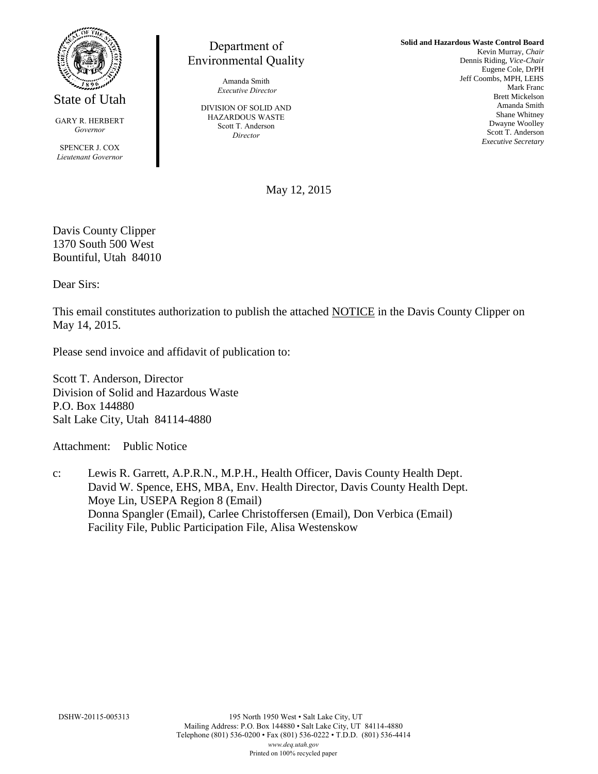

State of Utah

GARY R. HERBERT *Governor*

SPENCER J. COX *Lieutenant Governor*

## Department of Environmental Quality

Amanda Smith *Executive Director*

DIVISION OF SOLID AND HAZARDOUS WASTE Scott T. Anderson *Director*

**Solid and Hazardous Waste Control Board** Kevin Murray, *Chair* Dennis Riding, *Vice-Chair* Eugene Cole, DrPH Jeff Coombs, MPH, LEHS Mark Franc Brett Mickelson Amanda Smith Shane Whitney Dwayne Woolley Scott T. Anderson *Executive Secretary*

May 12, 2015

Davis County Clipper 1370 South 500 West Bountiful, Utah 84010

Dear Sirs:

This email constitutes authorization to publish the attached NOTICE in the Davis County Clipper on May 14, 2015.

Please send invoice and affidavit of publication to:

Scott T. Anderson, Director Division of Solid and Hazardous Waste P.O. Box 144880 Salt Lake City, Utah 84114-4880

Attachment: Public Notice

c: Lewis R. Garrett, A.P.R.N., M.P.H., Health Officer, Davis County Health Dept. David W. Spence, EHS, MBA, Env. Health Director, Davis County Health Dept. Moye Lin, USEPA Region 8 (Email) Donna Spangler (Email), Carlee Christoffersen (Email), Don Verbica (Email) Facility File, Public Participation File, Alisa Westenskow